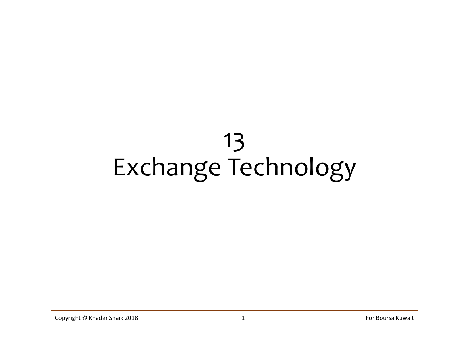# 13 Exchange Technology Copyright © Khader Shaik 2018 1 For Boursa Kuwait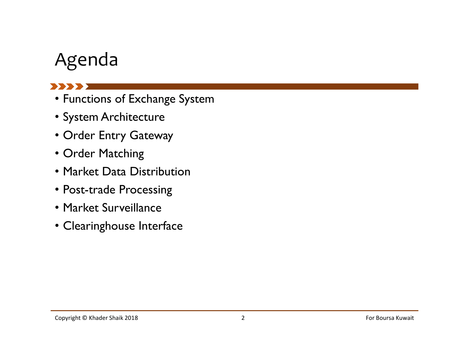## Agenda

#### 

- Functions of Exchange System
- System Architecture
- Order Entry Gateway
- Order Matching
- Market Data Distribution
- Post-trade Processing
- Market Surveillance
- Clearinghouse Interface Copyright © Khader Shaik 2018 2 For Boursa Kuwait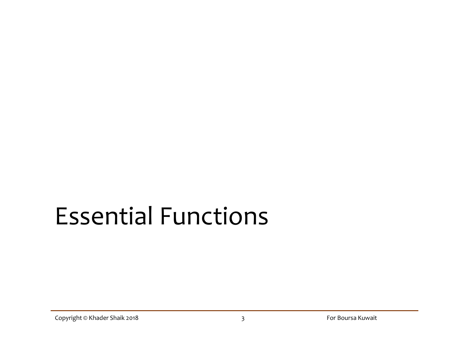# Essential Functions Essential Functions<br>
Copyright © Khader Shaik 2018<br>
Copyright © Khader Shaik 2018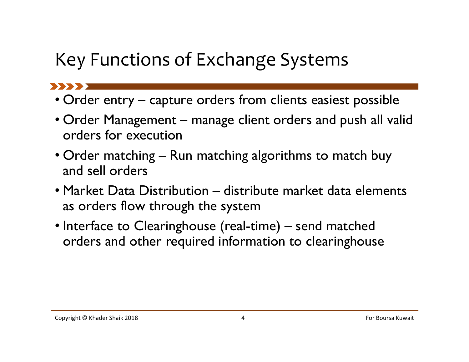# Key Functions of Exchange Systems

- 
- **Key Functions of Exchange Systems**<br>• Order entry capture orders from clients easiest possible<br>• Order Management manage client orders and push all valid orders for execution • Ney Functions of Exchange Systems<br>• Order entry – capture orders from clients easiest possible<br>• Order Management – manage client orders and push all valid<br>• Order matching – Run matching algorithms to match buy orders for execution • Order entry – capture orders from clients easiest possible<br>• Order entry – capture orders from clients easiest possible<br>• Order Management – manage client orders and push all valid<br>• Order matching – Run matching algorit
- and sell orders
- Functions of Exchange Systems<br>
 Order entry capture orders from clients easiest possible<br>
 Order Management manage client orders and push all valid<br>
 Order matching Run matching algorithms to match buy<br>
 Market D as orders flow through the system • Order entry – capture orders from clients easiest possible<br>• Order Management – manage client orders and push all valid<br>orders for execution<br>• Order matching – Run matching algorithms to match buy<br>and sell orders<br>• Marke and sell orders<br>• Market Data Distribution — distribute market data elements<br>as orders flow through the system<br>• Interface to Clearinghouse (real-time) — send matched<br>orders and other required information to clearinghouse<br>
- orders and other required information to clearinghouse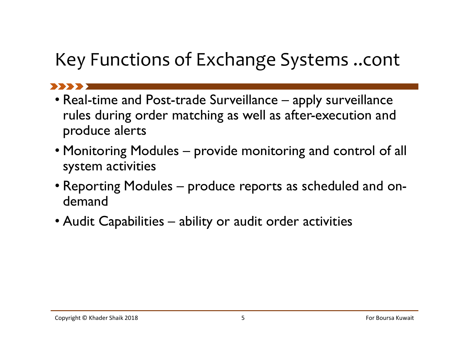# Key Functions of Exchange Systems ..cont

- **Key Functions of Exchange Systems ..cont**<br>• Real-time and Post-trade Surveillance apply surveillance<br>rules during order matching as well as after-execution and<br>produce alerts rules during order matching as well as after-execution and produce alerts Functions of Exchange Systems ..cont<br>• Real-time and Post-trade Surveillance – apply surveillance<br>• reles during order matching as well as after-execution and<br>• Monitoring Modules – provide monitoring and control of all<br>• • Real-time and Post-trade Surveillance – apply surveillance<br>• Real-time and Post-trade Surveillance – apply surveillance<br>rules during order matching as well as after-execution and<br>• Monitoring Modules – provide monitoring • Real-time and Post-trade Surveillance – apply surveillance<br>• Real-time and Post-trade Surveillance – apply surveillance<br>rules during order matching as well as after-execution and<br>• Monitoring Modules – provide monitoring
- system activities
- demand Copyright © Khader Shaik 2018 5 For Boursa Kuwait
-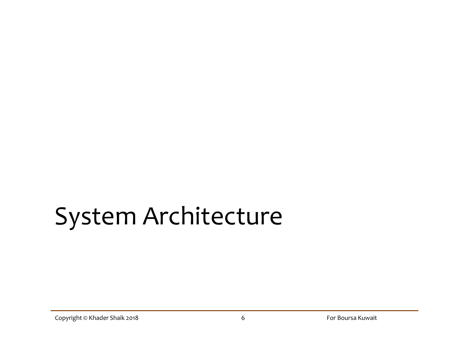# System Architecture System Architecture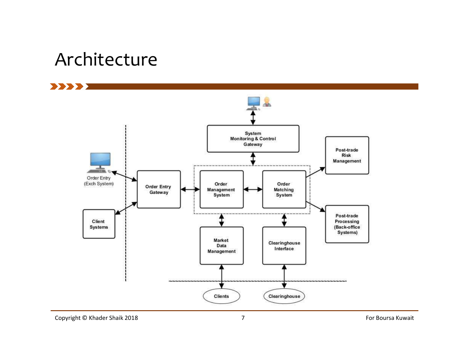#### Architecture

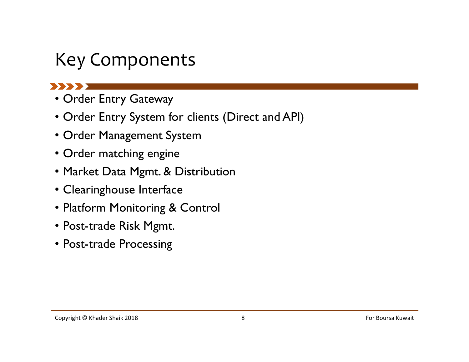## Key Components

- Order Entry Gateway
- Order Entry System for clients (Direct and API)
- Order Management System
- Order matching engine
- Market Data Mgmt. & Distribution
- Clearinghouse Interface
- Platform Monitoring & Control • Market Data Mgmt. & Distribution<br>• Clearinghouse Interface<br>• Platform Monitoring & Control<br>• Post-trade Risk Mgmt.<br>• Post-trade Processing<br>Copyright © Khader Shaik 2018 8 For Boursa Kuwait
- Post-trade Risk Mgmt.
- Post-trade Processing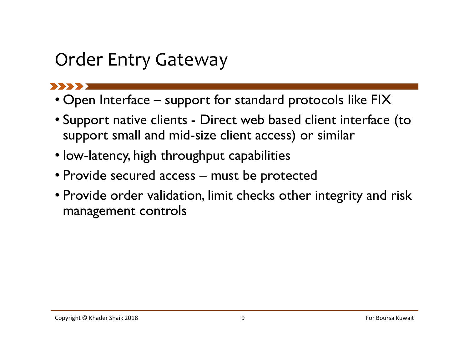## Order Entry Gateway

- 
- Order Entry Gateway<br>• Open Interface support for standard protocols like FIX<br>• Support native clients Direct web based client interface (to support small and mid-size client access) or similar 9 Order Entry Gateway<br>• Open Interface – support for standard protocols like FIX<br>• Support native clients - Direct web based client interface (to support small and mid-size client access) or similar<br>• Iow-latency, high thr support small and mid-size client access) or similar 9 <br>
• Open Interface – support for standard protocols like FIX<br>
• Support native clients - Direct web based client interface (to<br>
support small and mid-size client access) or similar<br>
• Iow-latency, high throughput capabil
- low-latency, high throughput capabilities
- 
- Provide order validation, limit checks other integrity and risk<br>
 Open Interface support for standard protocols like FIX<br>
 Support native clients Direct web based client interface (to<br>
support small and mid-size cl management controls • Provide secured access — must be protected<br>• Provide order validation, limit checks other integrity and risk<br>management controls<br>copyright © Khader Shaik 2018<br>Copyright © Khader Shaik 2018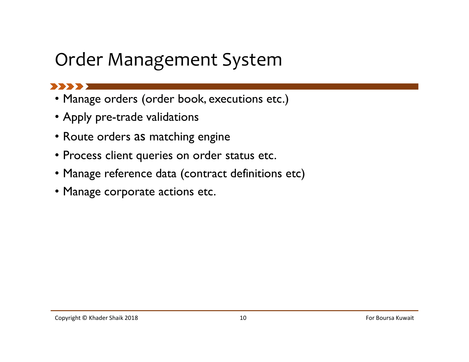### Order Management System

#### $\blacksquare$

- Manage orders (order book, executions etc.)
- Apply pre-trade validations
- Route orders as matching engine
- Process client queries on order status etc.
- Manage reference data (contract definitions etc) Copyright © Khader Shaik 2018 10 For Boursa Kuwait
- Manage corporate actions etc.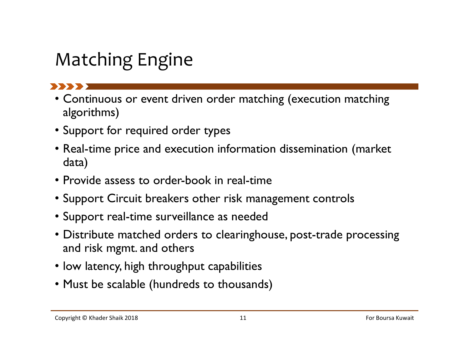# Matching Engine

 $\mathbf{X}$ 

- Continuous or event driven order matching (execution matching algorithms)
- Support for required order types
- Real-time price and execution information dissemination (market data)
- Provide assess to order-book in real-time
- Support Circuit breakers other risk management controls
- Support real-time surveillance as needed
- Distribute matched orders to clearinghouse, post-trade processing and risk mgmt. and others • Provide assess to order-book in real-time<br>• Support Circuit breakers other risk management controls<br>• Support real-time surveillance as needed<br>• Distribute matched orders to clearinghouse, post-trade processing<br>and risk
- low latency, high throughput capabilities
- Must be scalable (hundreds to thousands)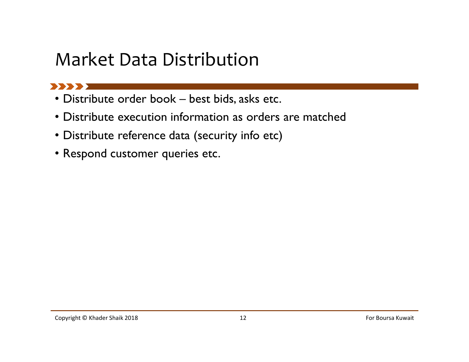# Market Data Distribution<br>• Distribute order book – best bids, asks etc.<br>• Distribute execution information as orders are matched<br>• Distribute reference data (security info etc) Market Data Distribution

- 
- Distribute execution information as orders are matched
- Distribute reference data (security info etc)
- Respond customer queries etc.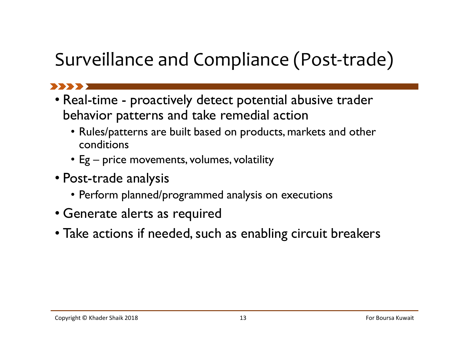# Surveillance and Compliance (Post-trade)

- Surveillance and Compliance (Post-trade)<br>• Real-time proactively detect potential abusive trader<br>• Real-time proactively detect potential abusive trader<br>• Rules/patterns are built based on products, markets and other behavior patterns and take remedial action Figure 2013<br>
• Figure 2014 Compliance (Post-translation<br>
Figure 1 and the contential abusive translation<br>
• Rules/patterns are built based on products, markets and conditions<br>
• Eg – price movements, volumes, volatility<br>
p
	- Rules/patterns are built based on products, markets and other conditions
	-
- Post-trade analysis
	- Perform planned/programmed analysis on executions
- Generate alerts as required
- Take actions if needed, such as enabling circuit breakers Copyright © Khader Shaik 2018 13 For Boursa Kuwait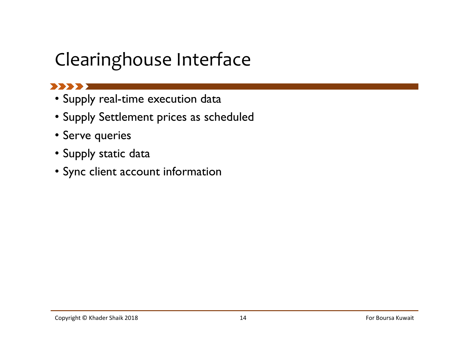# Clearinghouse Interface

#### **BEERE**

- Supply real-time execution data
- Supply Settlement prices as scheduled
- Serve queries
- Supply static data
- Sync client account information  $\bullet$  Sync client account information<br> $\frac{14}{14}$ For Boursa Kuwait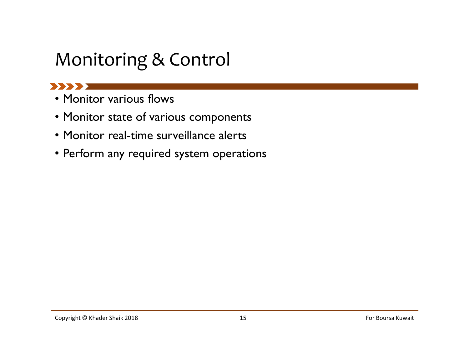## Monitoring & Control

#### **SASSAY**

- Monitor various flows
- Monitor state of various components
- Monitor real-time surveillance alerts
- Perform any required system operations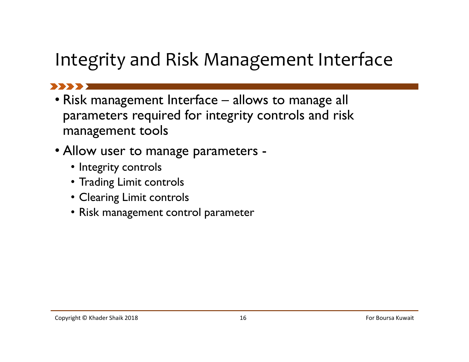## Integrity and Risk Management Interface

- Integrity and Risk Management Interface<br>• Risk management Interface allows to manage all<br>• Risk management Interface allows to manage all<br>• management tools parameters required for integrity controls and risk management tools **Control Control Control Control Control Control Control Control Controls and the statement equired for integrity controls and ristanagement tools<br>
Ilow user to manage parameters -<br>
• Integrity controls<br>
• Trading Limit co**
- Allow user to manage parameters -
	- Integrity controls
	- Trading Limit controls
	-
- Risk management control parameter Copyright © Khader Shaik 2018 16 For Boursa Kuwait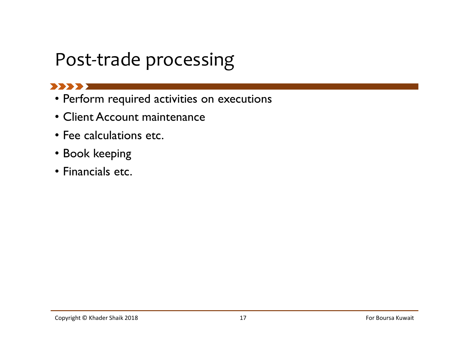## Post-trade processing

#### **BEERE**

- Perform required activities on executions
- Client Account maintenance
- Fee calculations etc.
- Book keeping
- Financials etc. ● FINANCIAIS etc.<br>
Copyright © Khader Shaik 2018 17 For Boursa Kuwait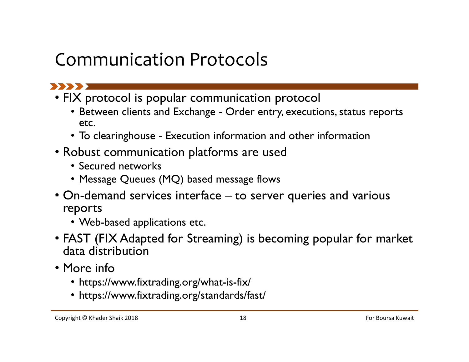## Communication Protocols



- FIX protocol is popular communication protocol
- Between clients and Exchange Order entry, executions, status reports<br>• Between clients and Exchange Order entry, executions, status reports<br>• To clearinghouse Execution information and other information<br>obust commu etc. • Morton Correction Correction<br>• To clearing the popular communication protocol<br>• Between clients and Exchange - Order entry, executions, status reports<br>• To clearinghouse - Execution information and other information<br>obus
	-
- Robust communication platforms are used
	- Secured networks
	- Message Queues (MQ) based message flows
- Communication Protocols<br>
 FIX protocol is popular communication protocol<br>
 Between clients and Exchange Order entry, executions, status reports<br>
 To clearinghouse Execution information and other information<br>
 Robus reports
	- Web-based applications etc.
- FAST (FIX Adapted for Streaming) is becoming popular for market data distribution • Message Queues (MQ) based message flows<br>• On-demand services interface – to server queries and various<br>reports<br>• Web-based applications etc.<br>• FAST (FIX Adapted for Streaming) is becoming popular for market<br>data distrib
- More info
	- https://www.fixtrading.org/what-is-fix/
	- https://www.fixtrading.org/standards/fast/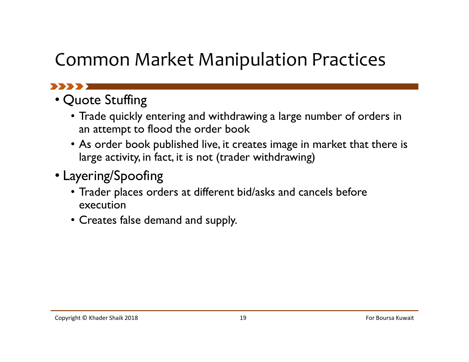## Common Market Manipulation Practices

#### **1999 - 1999**

- Quote Stuffing
	- Trade quickly entering and withdrawing a large number of orders in an attempt to flood the order book
	- As order book published live, it creates image in market that there is large activity, in fact, it is not (trader withdrawing)
- Layering/Spoofing
- Trader places orders at different bid/asks and cancels before execution • Layering/Spoofing<br>
• Trader places orders at different bid/asks and cancels before<br>
execution<br>
• Creates false demand and supply.<br>
Copyright © Khader Shaik 2018<br>
For Boursa Kuwait
	- Creates false demand and supply.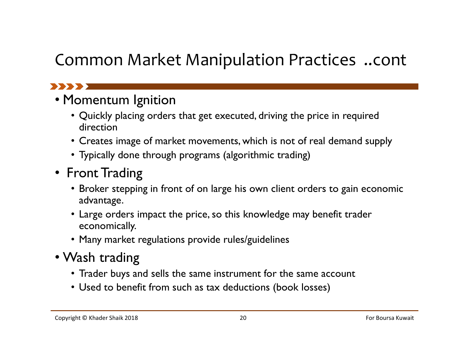#### Common Market Manipulation Practices ..cont

#### 

#### • Momentum Ignition

- Quickly placing orders that get executed, driving the price in required direction
- Creates image of market movements, which is not of real demand supply
- Typically done through programs (algorithmic trading)

#### • Front Trading

- Broker stepping in front of on large his own client orders to gain economic advantage. • Front Irading<br>
• Broker stepping in front of on large his own client orders to gain economic<br>
advantage.<br>
• Large orders impact the price, so this knowledge may benefit trader<br>
economically.<br>
• Many market regulations p
	- Large orders impact the price, so this knowledge may benefit trader economically.
	- Many market regulations provide rules/guidelines
- Wash trading
	- Trader buys and sells the same instrument for the same account
	- Used to benefit from such as tax deductions (book losses)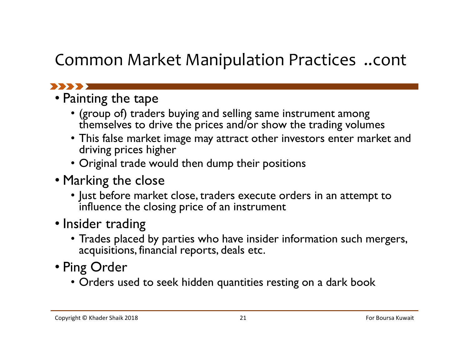#### Common Market Manipulation Practices ..cont

#### 

- Painting the tape
	- (group of) traders buying and selling same instrument among themselves to drive the prices and/or show the trading volumes
	- This false market image may attract other investors enter market and driving prices higher
	- Original trade would then dump their positions
- Marking the close
	- Just before market close, traders execute orders in an attempt to influence the closing price of an instrument
- Insider trading
- Trades placed by parties who have insider information such mergers, acquisitions, financial reports, deals etc. • Marking the close<br>
• Just before market close, traders execute orders in an attempt to<br>
influence the closing price of an instrument<br>
• Insider trading<br>
• Trades placed by parties who have insider information such merge
- Ping Order
	- Orders used to seek hidden quantities resting on a dark book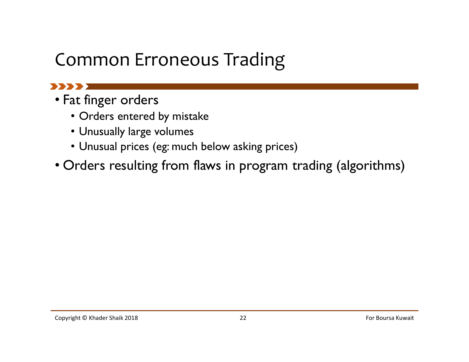# Common Erroneous Trading

#### 

- Fat finger orders
	- Orders entered by mistake
	- Unusually large volumes
	- Unusual prices (eg: much below asking prices)
- Orders resulting from flaws in program trading (algorithms) Copyright © Khader Shaik 2018 22 For Boursa Kuwait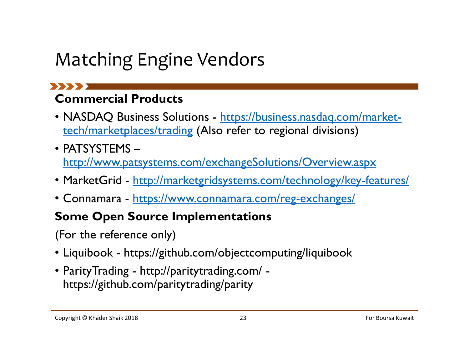# Matching Engine Vendors

# Commercial Products

- NASDAQ Business Solutions https://business.nasdaq.com/markettech/marketplaces/trading (Also refer to regional divisions)
- PATSYSTEMS http://www.patsystems.com/exchangeSolutions/Overview.aspx • Matching Engine Vendors<br>• NASDAQ Business Solutions - https://business.nasdaq.com/market-<br>• tech/marketplaces/trading (Also refer to regional divisions)<br>• PATSYSTEMS –<br>• MarketGrid - <u>http://marketgridsystems.com/technol</u> Matching Engine Vendors<br>
• NASDAQ Business Solutions - https://business.nasdaq.com/market-<br>
• NASDAQ Business Solutions - https://business.nasdaq.com/market-<br>
• enth/marketplaces/trading (Also refer to regional divisions)<br> • NASDAQ Business Solutions - <u>https://business.nasdaq.com/market-</u><br>• NASDAQ Business Solutions - <u>https://business.nasdaq.com/market-</u><br>• PATSYSTEMS –<br>• MarketGrid - <u>http://marketgridsystems.com/technology/key-features/</u><br> rech/marketplaces/trading (Also refer to regional divis<br>• PATSYSTEMS –<br>• HTSYSTEMS –<br>• MarketGrid - http://marketgridsystems.com/technolog<br>• Connamara - https://www.connamara.com/reg-exchar<br>**Some Open Source Implementation**
- 
- 

#### Some Open Source Implementations

(For the reference only)

- 
- https://github.com/paritytrading/parity • MarketGrid - <u>http://marketgridsystems.com/technology/key-features/</u><br>• Connamara - <u>https://www.connamara.com/reg-exchanges/</u><br>**Some Open Source Implementations**<br>(For the reference only)<br>• Liquibook - https://github.com/o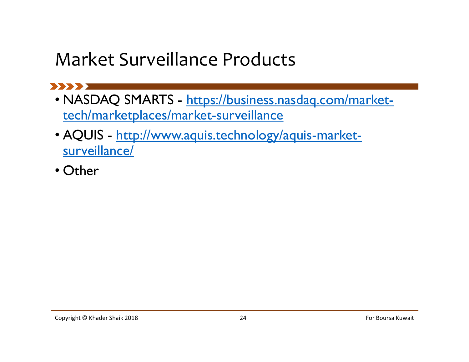## Market Surveillance Products

- NASDAQ SMARTS https://business.nasdaq.com/markettech/marketplaces/market-surveillance
- AQUIS http://www.aquis.technology/aquis-marketsurveillance/
- Other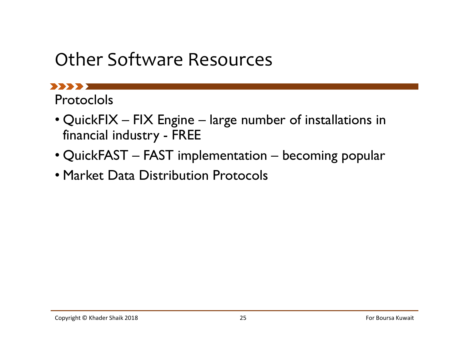### Other Software Resources

Protoclols

- Other Software Resources<br>
 QuickFIX FIX Engine large number of installations in<br>
 QuickFIX FIX Engine large number of installations in<br>
 QuickFAST FAST implementation becoming popular Other Software Resources<br>
Markey Software Resources<br>
The Society - FIX Engine - large number of installation<br>
financial industry - FREE<br>
QuickFAST – FAST implementation – becoming popy<br>
Market Data Distribution Protocols Other Software Resources<br>
• QuickFIX – FIX Engine – large number of installations in<br>
• QuickFIX – FIX Engine – large number of installations in<br>
• QuickFAST – FAST implementation – becoming popular<br>• Market Data Distribut
- 
- Market Data Distribution Protocols • Market Data Distribution Protocols<br>
Copyright © Khader Shaik 2018<br>
Copyright © Khader Shaik 2018<br>
For Boursa Kuwait